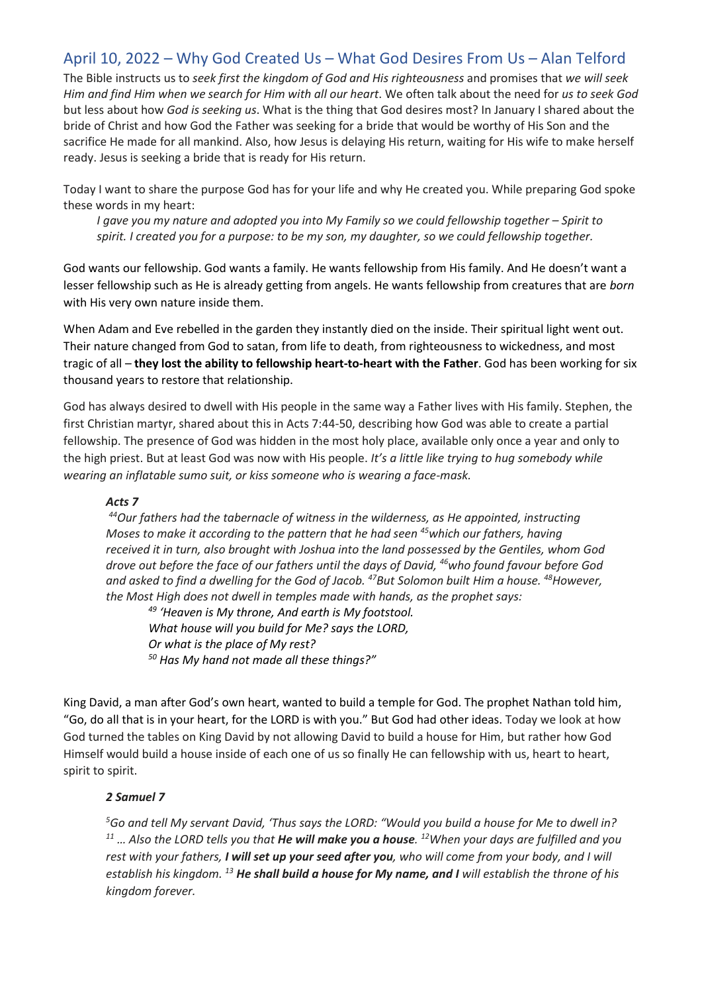# April 10, 2022 – Why God Created Us – What God Desires From Us – Alan Telford

The Bible instructs us to *seek first the kingdom of God and His righteousness* and promises that *we will seek* Him and find Him when we search for Him with all our heart. We often talk about the need for us to seek God but less about how *God is seeking us*. What is the thing that God desires most? In January I shared about the bride of Christ and how God the Father was seeking for a bride that would be worthy of His Son and the sacrifice He made for all mankind. Also, how Jesus is delaying His return, waiting for His wife to make herself ready. Jesus is seeking a bride that is ready for His return.

Today I want to share the purpose God has for your life and why He created you. While preparing God spoke these words in my heart:

*I gave you my nature and adopted you into My Family so we could fellowship together – Spirit to spirit. I created you for a purpose: to be my son, my daughter, so we could fellowship together.*

God wants our fellowship. God wants a family. He wants fellowship from His family. And He doesn't want a lesser fellowship such as He is already getting from angels. He wants fellowship from creatures that are *born* with His very own nature inside them.

When Adam and Eve rebelled in the garden they instantly died on the inside. Their spiritual light went out. Their nature changed from God to satan, from life to death, from righteousness to wickedness, and most tragic of all – **they lost the ability to fellowship heart-to-heart with the Father**. God has been working for six thousand years to restore that relationship.

God has always desired to dwell with His people in the same way a Father lives with His family. Stephen, the first Christian martyr, shared about this in Acts 7:44-50, describing how God was able to create a partial fellowship. The presence of God was hidden in the most holy place, available only once a year and only to the high priest. But at least God was now with His people. *It's a little like trying to hug somebody while wearing an inflatable sumo suit, or kiss someone who is wearing a face-mask.*

#### *Acts 7*

*<sup>44</sup>Our fathers had the tabernacle of witness in the wilderness, as He appointed, instructing Moses to make it according to the pattern that he had seen <sup>45</sup>which our fathers, having received it in turn, also brought with Joshua into the land possessed by the Gentiles, whom God drove out before the face of our fathers until the days of David, <sup>46</sup>who found favour before God and asked to find a dwelling for the God of Jacob. <sup>47</sup>But Solomon built Him a house. <sup>48</sup>However, the Most High does not dwell in temples made with hands, as the prophet says:*

*<sup>49</sup> 'Heaven is My throne, And earth is My footstool. What house will you build for Me? says the LORD, Or what is the place of My rest? <sup>50</sup> Has My hand not made all these things?"*

King David, a man after God's own heart, wanted to build a temple for God. The prophet Nathan told him, "Go, do all that is in your heart, for the LORD is with you." But God had other ideas. Today we look at how God turned the tables on King David by not allowing David to build a house for Him, but rather how God Himself would build a house inside of each one of us so finally He can fellowship with us, heart to heart, spirit to spirit.

#### *2 Samuel 7*

*<sup>5</sup>Go and tell My servant David, 'Thus says the LORD: "Would you build a house for Me to dwell in? <sup>11</sup> … Also the LORD tells you that He will make you a house. <sup>12</sup>When your days are fulfilled and you rest with your fathers, I will set up your seed after you, who will come from your body, and I will establish his kingdom. <sup>13</sup> He shall build a house for My name, and I will establish the throne of his kingdom forever.*